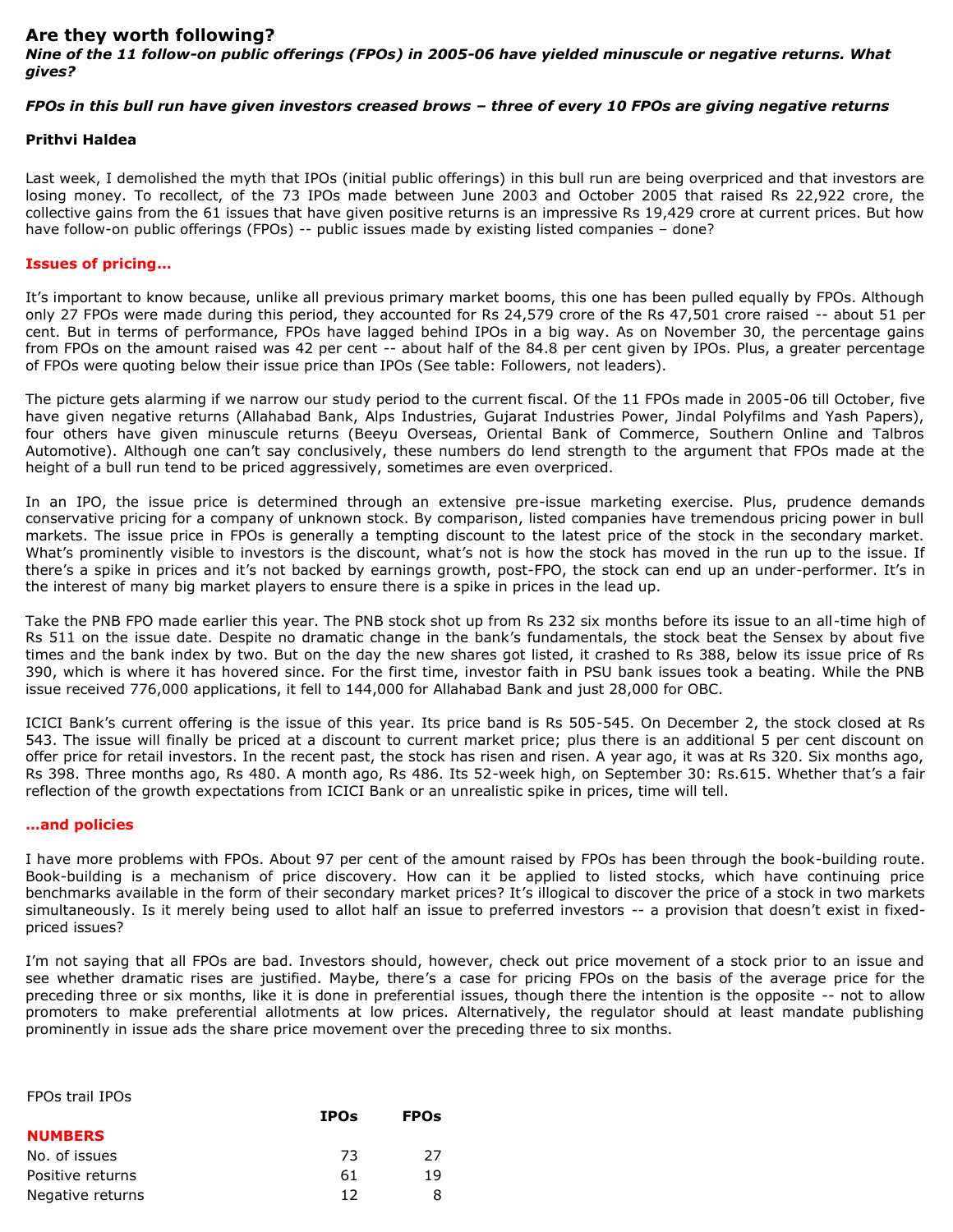# **Are they worth following?**

*Nine of the 11 follow-on public offerings (FPOs) in 2005-06 have yielded minuscule or negative returns. What gives?*

# *FPOs in this bull run have given investors creased brows – three of every 10 FPOs are giving negative returns*

## **Prithvi Haldea**

Last week, I demolished the myth that IPOs (initial public offerings) in this bull run are being overpriced and that investors are losing money. To recollect, of the 73 IPOs made between June 2003 and October 2005 that raised Rs 22,922 crore, the collective gains from the 61 issues that have given positive returns is an impressive Rs 19,429 crore at current prices. But how have follow-on public offerings (FPOs) -- public issues made by existing listed companies - done?

# **Issues of pricing…**

It's important to know because, unlike all previous primary market booms, this one has been pulled equally by FPOs. Although only 27 FPOs were made during this period, they accounted for Rs 24,579 crore of the Rs 47,501 crore raised -- about 51 per cent. But in terms of performance, FPOs have lagged behind IPOs in a big way. As on November 30, the percentage gains from FPOs on the amount raised was 42 per cent -- about half of the 84.8 per cent given by IPOs. Plus, a greater percentage of FPOs were quoting below their issue price than IPOs (See table: Followers, not leaders).

The picture gets alarming if we narrow our study period to the current fiscal. Of the 11 FPOs made in 2005-06 till October, five have given negative returns (Allahabad Bank, Alps Industries, Gujarat Industries Power, Jindal Polyfilms and Yash Papers), four others have given minuscule returns (Beeyu Overseas, Oriental Bank of Commerce, Southern Online and Talbros Automotive). Although one can't say conclusively, these numbers do lend strength to the argument that FPOs made at the height of a bull run tend to be priced aggressively, sometimes are even overpriced.

In an IPO, the issue price is determined through an extensive pre-issue marketing exercise. Plus, prudence demands conservative pricing for a company of unknown stock. By comparison, listed companies have tremendous pricing power in bull markets. The issue price in FPOs is generally a tempting discount to the latest price of the stock in the secondary market. What's prominently visible to investors is the discount, what's not is how the stock has moved in the run up to the issue. If there's a spike in prices and it's not backed by earnings growth, post-FPO, the stock can end up an under-performer. It's in the interest of many big market players to ensure there is a spike in prices in the lead up.

Take the PNB FPO made earlier this year. The PNB stock shot up from Rs 232 six months before its issue to an all-time high of Rs 511 on the issue date. Despite no dramatic change in the bank's fundamentals, the stock beat the Sensex by about five times and the bank index by two. But on the day the new shares got listed, it crashed to Rs 388, below its issue price of Rs 390, which is where it has hovered since. For the first time, investor faith in PSU bank issues took a beating. While the PNB issue received 776,000 applications, it fell to 144,000 for Allahabad Bank and just 28,000 for OBC.

ICICI Bank's current offering is the issue of this year. Its price band is Rs 505-545. On December 2, the stock closed at Rs 543. The issue will finally be priced at a discount to current market price; plus there is an additional 5 per cent discount on offer price for retail investors. In the recent past, the stock has risen and risen. A year ago, it was at Rs 320. Six months ago, Rs 398. Three months ago, Rs 480. A month ago, Rs 486. Its 52-week high, on September 30: Rs.615. Whether that's a fair reflection of the growth expectations from ICICI Bank or an unrealistic spike in prices, time will tell.

#### **…and policies**

I have more problems with FPOs. About 97 per cent of the amount raised by FPOs has been through the book-building route. Book-building is a mechanism of price discovery. How can it be applied to listed stocks, which have continuing price benchmarks available in the form of their secondary market prices? It's illogical to discover the price of a stock in two markets simultaneously. Is it merely being used to allot half an issue to preferred investors -- a provision that doesn't exist in fixedpriced issues?

I'm not saying that all FPOs are bad. Investors should, however, check out price movement of a stock prior to an issue and see whether dramatic rises are justified. Maybe, there's a case for pricing FPOs on the basis of the average price for the preceding three or six months, like it is done in preferential issues, though there the intention is the opposite -- not to allow promoters to make preferential allotments at low prices. Alternatively, the regulator should at least mandate publishing prominently in issue ads the share price movement over the preceding three to six months.

| FPOs trail IPOs  |             |             |
|------------------|-------------|-------------|
|                  | <b>IPOs</b> | <b>FPOs</b> |
| <b>NUMBERS</b>   |             |             |
| No. of issues    | 73          | 27          |
| Positive returns | 61          | 19          |
| Negative returns | 12          | 8           |